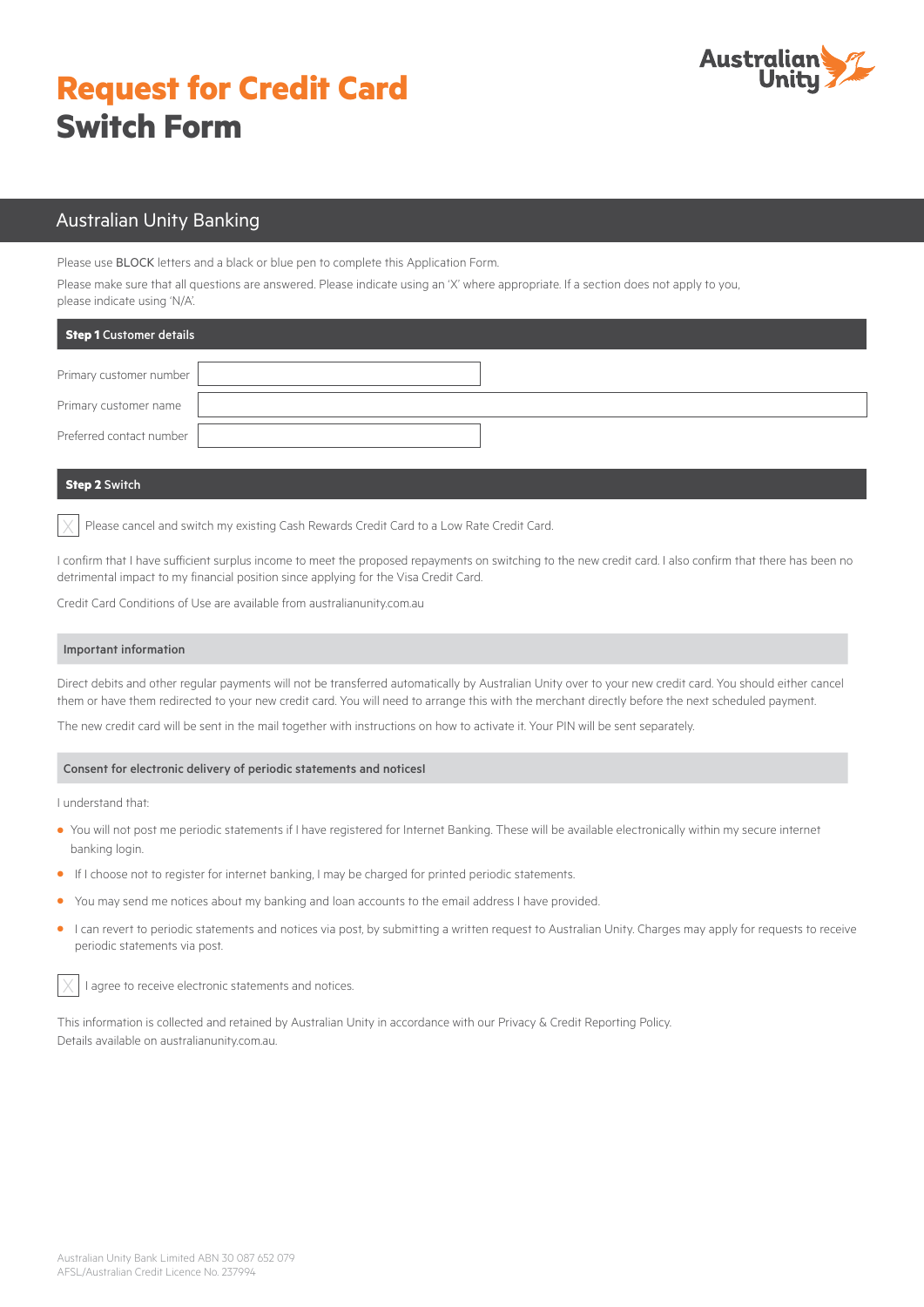# **Request for Credit Card Switch Form**



# Australian Unity Banking

Please use BLOCK letters and a black or blue pen to complete this Application Form.

Please make sure that all questions are answered. Please indicate using an 'X' where appropriate. If a section does not apply to you, please indicate using 'N/A'.

| Step 1 Customer details  |  |
|--------------------------|--|
| Primary customer number  |  |
| Primary customer name    |  |
| Preferred contact number |  |

### **Step 2** Switch

Please cancel and switch my existing Cash Rewards Credit Card to a Low Rate Credit Card.

I confirm that I have sufficient surplus income to meet the proposed repayments on switching to the new credit card. I also confirm that there has been no detrimental impact to my financial position since applying for the Visa Credit Card.

Credit Card Conditions of Use are available from [australianunity.com.au](https://www.australianunity.com.au/)

#### Important information

Direct debits and other regular payments will not be transferred automatically by Australian Unity over to your new credit card. You should either cancel them or have them redirected to your new credit card. You will need to arrange this with the merchant directly before the next scheduled payment.

The new credit card will be sent in the mail together with instructions on how to activate it. Your PIN will be sent separately.

#### Consent for electronic delivery of periodic statements and noticesI

I understand that:

- **•** You will not post me periodic statements if I have registered for Internet Banking. These will be available electronically within my secure internet banking login.
- **•** If I choose not to register for internet banking, I may be charged for printed periodic statements.
- **•** You may send me notices about my banking and loan accounts to the email address I have provided.
- **•** I can revert to periodic statements and notices via post, by submitting a written request to Australian Unity. Charges may apply for requests to receive periodic statements via post.



I agree to receive electronic statements and notices.

This information is collected and retained by Australian Unity in accordance with our Privacy & Credit Reporting Policy. Details available on [australianunity.com.au](https://www.australianunity.com.au/).